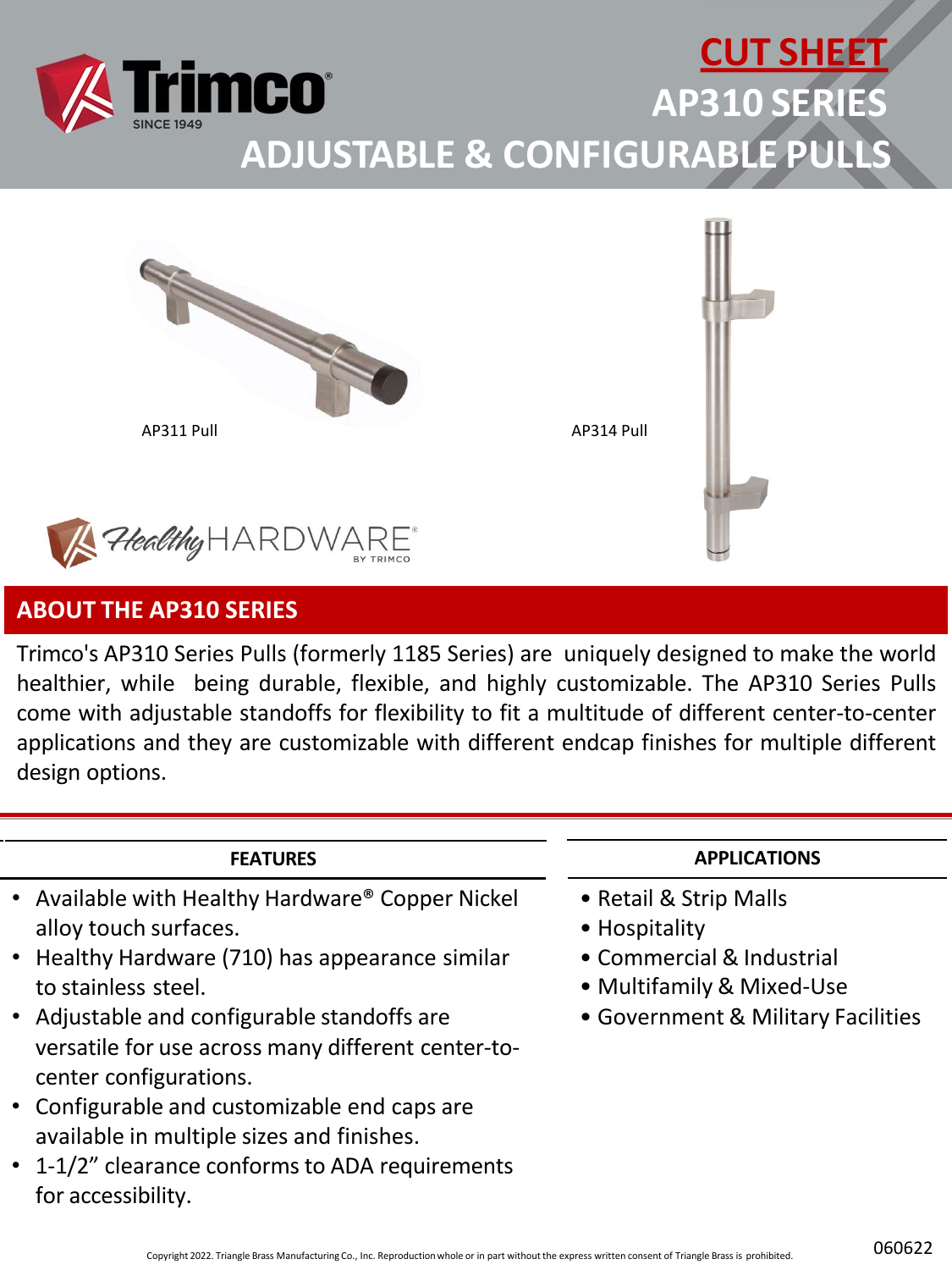





### **ABOUT THE AP310 SERIES**

Trimco's AP310 Series Pulls (formerly 1185 Series) are uniquely designed to make the world healthier, while being durable, flexible, and highly customizable. The AP310 Series Pulls come with adjustable standoffs for flexibility to fit a multitude of different center-to-center applications and they are customizable with different endcap finishes for multiple different design options.

#### **FEATURES**

- Available with Healthy Hardware® Copper Nickel alloy touch surfaces.
- Healthy Hardware (710) has appearance similar to stainless steel.
- Adjustable and configurable standoffs are versatile for use across many different center-tocenter configurations.
- Configurable and customizable end caps are available in multiple sizes and finishes.
- 1-1/2" clearance conforms to ADA requirements for accessibility.

#### **APPLICATIONS**

- Retail & Strip Malls
- Hospitality
- Commercial & Industrial
- Multifamily & Mixed-Use
- Government & Military Facilities